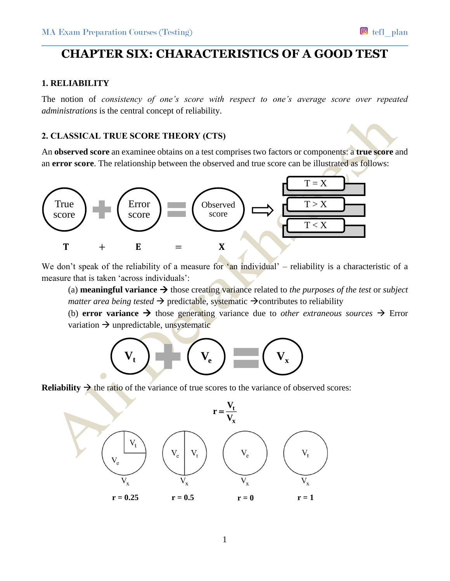## **CHAPTER SIX: CHARACTERISTICS OF A GOOD TEST**

#### **1. RELIABILITY**

The notion of *consistency of one's score with respect to one's average score over repeated administrations* is the central concept of reliability.

#### **2. CLASSICAL TRUE SCORE THEORY (CTS)**

An **observed score** an examinee obtains on a test comprises two factors or components: a **true score** and an **error score**. The relationship between the observed and true score can be illustrated as follows:



We don't speak of the reliability of a measure for 'an individual' – reliability is a characteristic of a measure that is taken 'across individuals':

(a) **meaningful variance**  $\rightarrow$  those creating variance related to *the purposes of the test* or *subject matter area being tested*  $\rightarrow$  predictable, systematic  $\rightarrow$  contributes to reliability

(b) **error variance**  $\rightarrow$  those generating variance due to *other extraneous sources*  $\rightarrow$  Error variation  $\rightarrow$  unpredictable, unsystematic



**Reliability**  $\rightarrow$  the ratio of the variance of true scores to the variance of observed scores:

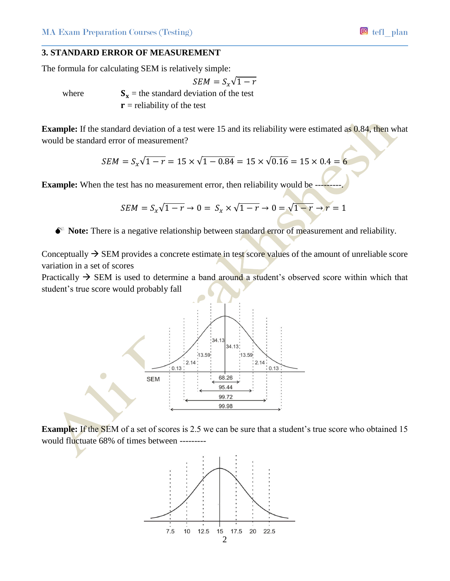#### **3. STANDARD ERROR OF MEASUREMENT**

The formula for calculating SEM is relatively simple:

$$
SEM = S_x \sqrt{1 - r}
$$
  
where  $S_x$  = the standard deviation of the test  
 $r$  = reliability of the test

**Example:** If the standard deviation of a test were 15 and its reliability were estimated as 0.84, then what would be standard error of measurement?

$$
SEM = S_x \sqrt{1 - r} = 15 \times \sqrt{1 - 0.84} = 15 \times \sqrt{0.16} = 15 \times 0.4 = 6
$$

**Example:** When the test has no measurement error, then reliability would be

$$
SEM = S_x\sqrt{1-r} \rightarrow 0 = S_x \times \sqrt{1-r} \rightarrow 0 = \sqrt{1-r} \rightarrow r = 1
$$

**Note:** There is a negative relationship between standard error of measurement and reliability.

Conceptually  $\rightarrow$  SEM provides a concrete estimate in test score values of the amount of unreliable score variation in a set of scores

Practically  $\rightarrow$  SEM is used to determine a band around a student's observed score within which that student's true score would probably fall



**Example:** If the SEM of a set of scores is 2.5 we can be sure that a student's true score who obtained 15 would fluctuate 68% of times between ---------

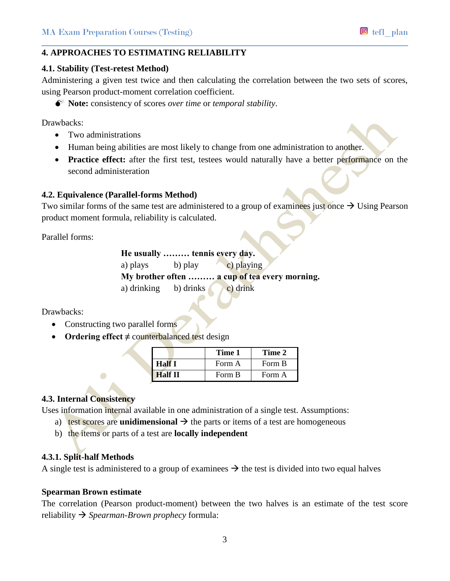#### **4. APPROACHES TO ESTIMATING RELIABILITY**

#### **4.1. Stability (Test-retest Method)**

Administering a given test twice and then calculating the correlation between the two sets of scores, using Pearson product-moment correlation coefficient.

**Note:** consistency of scores *over time* or *temporal stability*.

Drawbacks:

- Two administrations
- Human being abilities are most likely to change from one administration to another.
- **Practice effect:** after the first test, testees would naturally have a better performance on the second administeration

#### **4.2. Equivalence (Parallel-forms Method)**

Two similar forms of the same test are administered to a group of examinees just once  $\rightarrow$  Using Pearson product moment formula, reliability is calculated.

Parallel forms:

**He usually ……… tennis every day.** a) plays b) play c) playing **My brother often ……… a cup of tea every morning.** a) drinking b) drinks c) drink

Drawbacks:

- Constructing two parallel forms
- **Ordering effect ≠** counterbalanced test design

|         | Time 1 | Time 2 |
|---------|--------|--------|
| Half I  | Form A | Form B |
| Half II | Form B | Form A |

#### **4.3. Internal Consistency**

Uses information internal available in one administration of a single test. Assumptions:

- a) test scores are **unidimensional**  $\rightarrow$  the parts or items of a test are homogeneous
- b) the items or parts of a test are **locally independent**

#### **4.3.1. Split-half Methods**

A single test is administered to a group of examinees  $\rightarrow$  the test is divided into two equal halves

#### **Spearman Brown estimate**

The correlation (Pearson product-moment) between the two halves is an estimate of the test score reliability *Spearman-Brown prophecy* formula: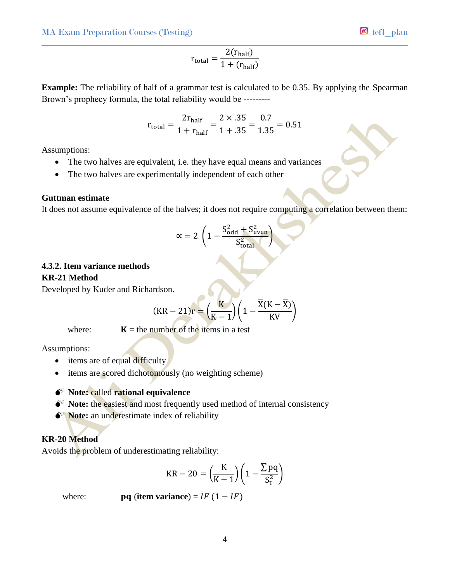$$
r_{\text{total}} = \frac{2(r_{\text{half}})}{1 + (r_{\text{half}})}
$$

**Example:** The reliability of half of a grammar test is calculated to be 0.35. By applying the Spearman Brown's prophecy formula, the total reliability would be ---------

$$
r_{\text{total}} = \frac{2r_{\text{half}}}{1 + r_{\text{half}}} = \frac{2 \times .35}{1 + .35} = \frac{0.7}{1.35} = 0.51
$$

Assumptions:

- The two halves are equivalent, i.e. they have equal means and variances
- The two halves are experimentally independent of each other

#### **Guttman estimate**

It does not assume equivalence of the halves; it does not require computing a correlation between them:

$$
\alpha = 2 \left( 1 - \frac{S_{\text{odd}}^2 + S_{\text{even}}^2}{S_{\text{total}}^2} \right)
$$

# **4.3.2. Item variance methods**

**KR-21 Method**

Developed by Kuder and Richardson.

$$
(KR-21)r = \left(\frac{K}{K-1}\right)\left(1 - \frac{\overline{X}(K-\overline{X})}{KV}\right)
$$

where:  $K =$  the number of the items in a test

Assumptions:

- $\bullet$  items are of equal difficulty
- items are scored dichotomously (no weighting scheme)

## **Note:** called **rational equivalence**

- $\bullet^*$  **Note:** the easiest and most frequently used method of internal consistency
- $\bullet^*$  **Note:** an underestimate index of reliability

## **KR-20 Method**

Avoids the problem of underestimating reliability:

$$
KR - 20 = \left(\frac{K}{K - 1}\right) \left(1 - \frac{\sum pq}{S_t^2}\right)
$$

where: **pq** (**item variance**) =  $IF(1 - IF)$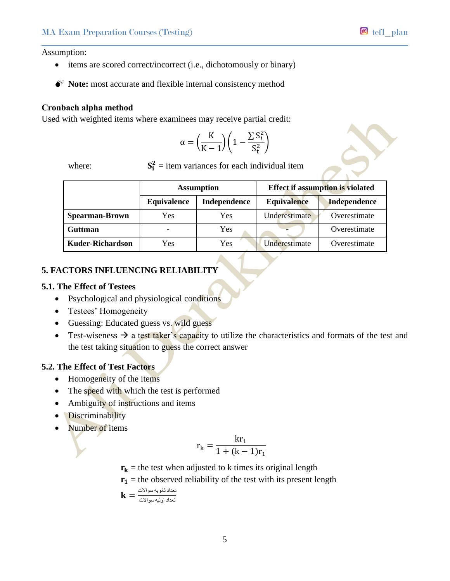Assumption:

- items are scored correct/incorrect (i.e., dichotomously or binary)
- $\bullet^*$  Note: most accurate and flexible internal consistency method

#### **Cronbach alpha method**

Used with weighted items where examinees may receive partial credit:

$$
\alpha = \left(\frac{K}{K-1}\right)\left(1 - \frac{\sum S_i^2}{S_t^2}\right)
$$

where:

 $\frac{2}{\pi}$  = item variances for each individual item

|                         | <b>Assumption</b> |              | <b>Effect if assumption is violated</b> |                     |
|-------------------------|-------------------|--------------|-----------------------------------------|---------------------|
|                         | Equivalence       | Independence | <b>Equivalence</b>                      | <b>Independence</b> |
| <b>Spearman-Brown</b>   | Yes               | Yes          | Underestimate                           | Overestimate        |
| <b>Guttman</b>          | -                 | Yes          |                                         | Overestimate        |
| <b>Kuder-Richardson</b> | Yes               | Yes          | Underestimate                           | Overestimate        |

## **5. FACTORS INFLUENCING RELIABILITY**

#### **5.1. The Effect of Testees**

- Psychological and physiological conditions
- Testees' Homogeneity
- Guessing: Educated guess vs. wild guess
- Test-wiseness  $\rightarrow$  a test taker's capacity to utilize the characteristics and formats of the test and the test taking situation to guess the correct answer

## **5.2. The Effect of Test Factors**

- Homogeneity of the items
- The speed with which the test is performed
- Ambiguity of instructions and items
- Discriminability
- Number of items

$$
r_k = \frac{kr_1}{1 + (k-1)r_1}
$$

 $r_k$  = the test when adjusted to k times its original length

$$
r_1
$$
 = the observed reliability of the test with its present length

$$
\mathbf{k} = \frac{\text{Cov}_{\text{e}}}{\text{Cov}_{\text{e}}}
$$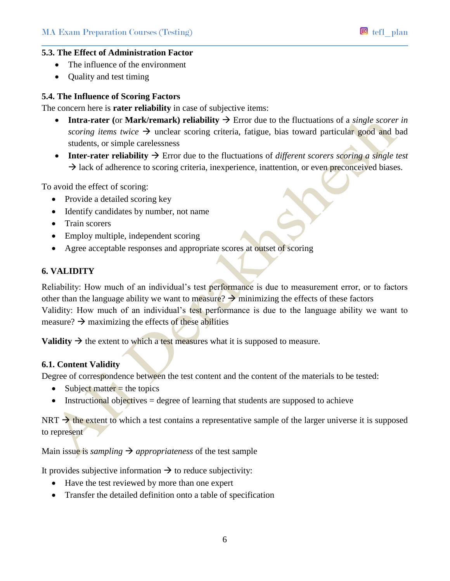

## **5.3. The Effect of Administration Factor**

- The influence of the environment
- Quality and test timing

#### **5.4. The Influence of Scoring Factors**

The concern here is **rater reliability** in case of subjective items:

- **Intra-rater (or Mark/remark) reliability**  $\rightarrow$  **Error due to the fluctuations of a** *single scorer in scoring items twice*  $\rightarrow$  unclear scoring criteria, fatigue, bias toward particular good and bad students, or simple carelessness
- **Inter-rater reliability**  $\rightarrow$  Error due to the fluctuations of *different scorers scoring a single test*  $\rightarrow$  lack of adherence to scoring criteria, inexperience, inattention, or even preconceived biases.

To avoid the effect of scoring:

- Provide a detailed scoring key
- Identify candidates by number, not name
- Train scorers
- Employ multiple, independent scoring
- Agree acceptable responses and appropriate scores at outset of scoring

#### **6. VALIDITY**

Reliability: How much of an individual's test performance is due to measurement error, or to factors other than the language ability we want to measure?  $\rightarrow$  minimizing the effects of these factors Validity: How much of an individual's test performance is due to the language ability we want to measure?  $\rightarrow$  maximizing the effects of these abilities

**Validity**  $\rightarrow$  the extent to which a test measures what it is supposed to measure.

#### **6.1. Content Validity**

Degree of correspondence between the test content and the content of the materials to be tested:

- $\bullet$  Subject matter = the topics
- $\bullet$  Instructional objectives = degree of learning that students are supposed to achieve

 $NRT \rightarrow$  the extent to which a test contains a representative sample of the larger universe it is supposed to represent

Main issue is *sampling*  $\rightarrow$  *appropriateness* of the test sample

It provides subjective information  $\rightarrow$  to reduce subjectivity:

- Have the test reviewed by more than one expert
- Transfer the detailed definition onto a table of specification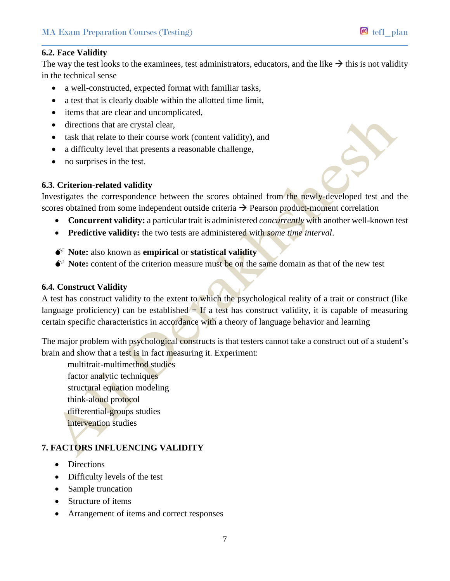## **6.2. Face Validity**

The way the test looks to the examinees, test administrators, educators, and the like  $\rightarrow$  this is not validity in the technical sense

- a well-constructed, expected format with familiar tasks,
- a test that is clearly doable within the allotted time limit,
- items that are clear and uncomplicated,
- directions that are crystal clear,
- task that relate to their course work (content validity), and
- a difficulty level that presents a reasonable challenge,
- no surprises in the test.

## **6.3. Criterion-related validity**

Investigates the correspondence between the scores obtained from the newly-developed test and the scores obtained from some independent outside criteria  $\rightarrow$  Pearson product-moment correlation

- **Concurrent validity:** a particular trait is administered *concurrently* with another well-known test
- **Predictive validity:** the two tests are administered with *some time interval*.

## **Note:** also known as **empirical** or **statistical validity**

**Note:** content of the criterion measure must be on the same domain as that of the new test

#### **6.4. Construct Validity**

A test has construct validity to the extent to which the psychological reality of a trait or construct (like language proficiency) can be established  $=$  If a test has construct validity, it is capable of measuring certain specific characteristics in accordance with a theory of language behavior and learning

The major problem with psychological constructs is that testers cannot take a construct out of a student's brain and show that a test is in fact measuring it. Experiment:

multitrait-multimethod studies factor analytic techniques structural equation modeling think-aloud protocol differential-groups studies intervention studies

## **7. FACTORS INFLUENCING VALIDITY**

- Directions
- Difficulty levels of the test
- Sample truncation
- Structure of items
- Arrangement of items and correct responses